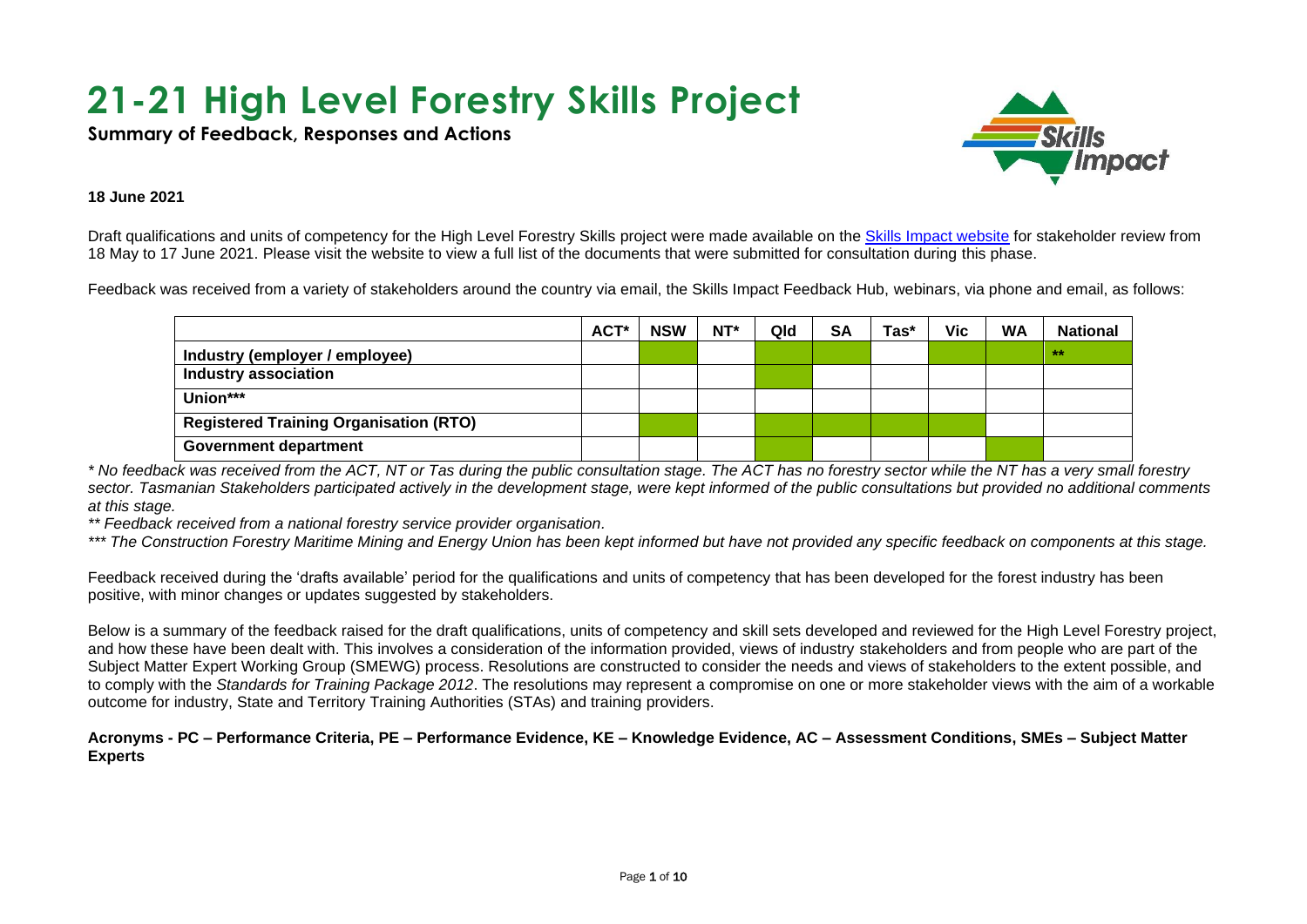# **21-21 High Level Forestry Skills Project**

**Summary of Feedback, Responses and Actions**



#### **18 June 2021**

18 May to 17 June 2021. Please visit the website to view a full list of the documents that were submitted for consultation during this phase. Draft qualifications and units of competency for the High Level Forestry Skills project were made available on the [Skills Impact website](https://www.skillsimpact.com.au/forest-management-and-harvesting/training-package-projects/high-level-forestry-skills-project/) for stakeholder review from

Feedback was received from a variety of stakeholders around the country via email, the Skills Impact Feedback Hub, webinars, via phone and email, as follows:

|                                               | ACT* | <b>NSW</b> | NT* | Qld | <b>SA</b> | Tas* | <b>Vic</b> | <b>WA</b> | <b>National</b> |
|-----------------------------------------------|------|------------|-----|-----|-----------|------|------------|-----------|-----------------|
| Industry (employer / employee)                |      |            |     |     |           |      |            |           | 大大              |
| <b>Industry association</b>                   |      |            |     |     |           |      |            |           |                 |
| Union***                                      |      |            |     |     |           |      |            |           |                 |
| <b>Registered Training Organisation (RTO)</b> |      |            |     |     |           |      |            |           |                 |
| <b>Government department</b>                  |      |            |     |     |           |      |            |           |                 |

*\* No feedback was received from the ACT, NT or Tas during the public consultation stage. The ACT has no forestry sector while the NT has a very small forestry sector. Tasmanian Stakeholders participated actively in the development stage, were kept informed of the public consultations but provided no additional comments at this stage.*

*\*\* Feedback received from a national forestry service provider organisation.*

*\*\*\* The Construction Forestry Maritime Mining and Energy Union has been kept informed but have not provided any specific feedback on components at this stage.*

Feedback received during the 'drafts available' period for the qualifications and units of competency that has been developed for the forest industry has been positive, with minor changes or updates suggested by stakeholders.

Below is a summary of the feedback raised for the draft qualifications, units of competency and skill sets developed and reviewed for the High Level Forestry project, and how these have been dealt with. This involves a consideration of the information provided, views of industry stakeholders and from people who are part of the Subject Matter Expert Working Group (SMEWG) process. Resolutions are constructed to consider the needs and views of stakeholders to the extent possible, and to comply with the *Standards for Training Package 2012*. The resolutions may represent a compromise on one or more stakeholder views with the aim of a workable outcome for industry, State and Territory Training Authorities (STAs) and training providers.

**Acronyms - PC – Performance Criteria, PE – Performance Evidence, KE – Knowledge Evidence, AC – Assessment Conditions, SMEs – Subject Matter Experts**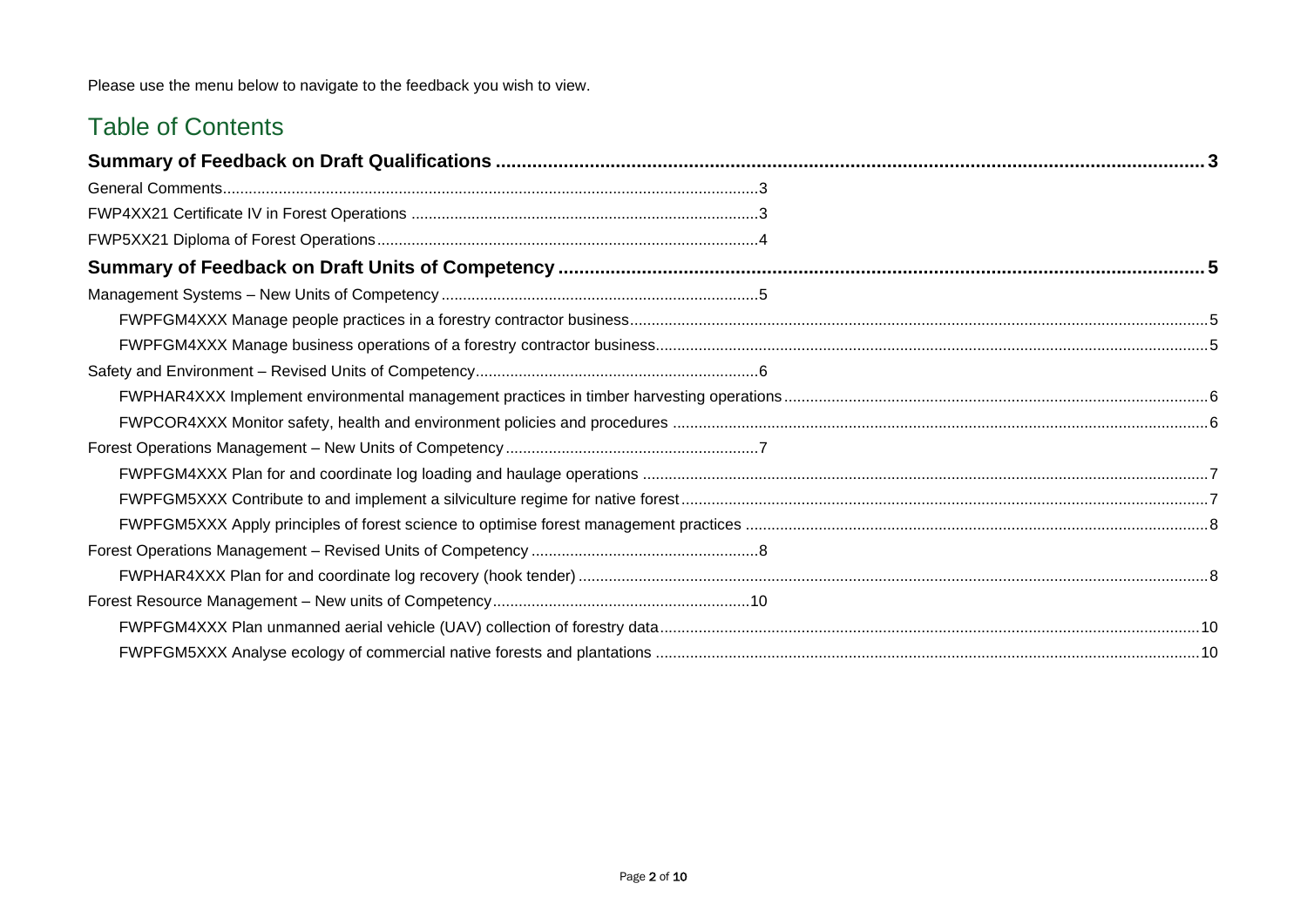Please use the menu below to navigate to the feedback you wish to view.

### Table of Contents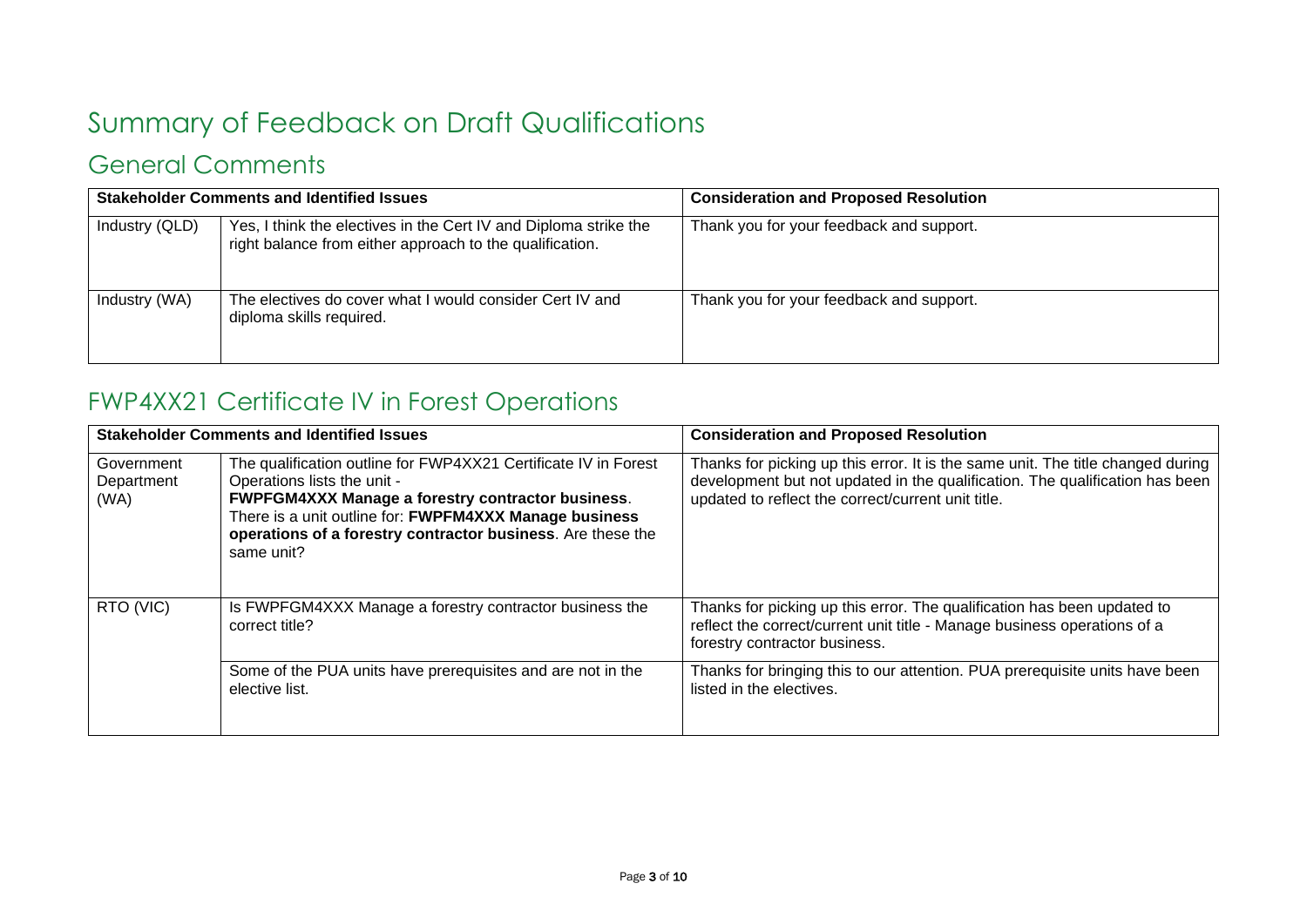# <span id="page-2-0"></span>Summary of Feedback on Draft Qualifications

# <span id="page-2-1"></span>General Comments

|                | <b>Stakeholder Comments and Identified Issues</b>                                                                            | <b>Consideration and Proposed Resolution</b> |  |
|----------------|------------------------------------------------------------------------------------------------------------------------------|----------------------------------------------|--|
| Industry (QLD) | Yes, I think the electives in the Cert IV and Diploma strike the<br>right balance from either approach to the qualification. | Thank you for your feedback and support.     |  |
| Industry (WA)  | The electives do cover what I would consider Cert IV and<br>diploma skills required.                                         | Thank you for your feedback and support.     |  |

### <span id="page-2-2"></span>FWP4XX21 Certificate IV in Forest Operations

|                                  | <b>Stakeholder Comments and Identified Issues</b>                                                                                                                                                                                                                                          | <b>Consideration and Proposed Resolution</b>                                                                                                                                                                          |
|----------------------------------|--------------------------------------------------------------------------------------------------------------------------------------------------------------------------------------------------------------------------------------------------------------------------------------------|-----------------------------------------------------------------------------------------------------------------------------------------------------------------------------------------------------------------------|
| Government<br>Department<br>(WA) | The qualification outline for FWP4XX21 Certificate IV in Forest<br>Operations lists the unit -<br>FWPFGM4XXX Manage a forestry contractor business.<br>There is a unit outline for: FWPFM4XXX Manage business<br>operations of a forestry contractor business. Are these the<br>same unit? | Thanks for picking up this error. It is the same unit. The title changed during<br>development but not updated in the qualification. The qualification has been<br>updated to reflect the correct/current unit title. |
| RTO (VIC)                        | Is FWPFGM4XXX Manage a forestry contractor business the<br>correct title?                                                                                                                                                                                                                  | Thanks for picking up this error. The qualification has been updated to<br>reflect the correct/current unit title - Manage business operations of a<br>forestry contractor business.                                  |
|                                  | Some of the PUA units have prerequisites and are not in the<br>elective list.                                                                                                                                                                                                              | Thanks for bringing this to our attention. PUA prerequisite units have been<br>listed in the electives.                                                                                                               |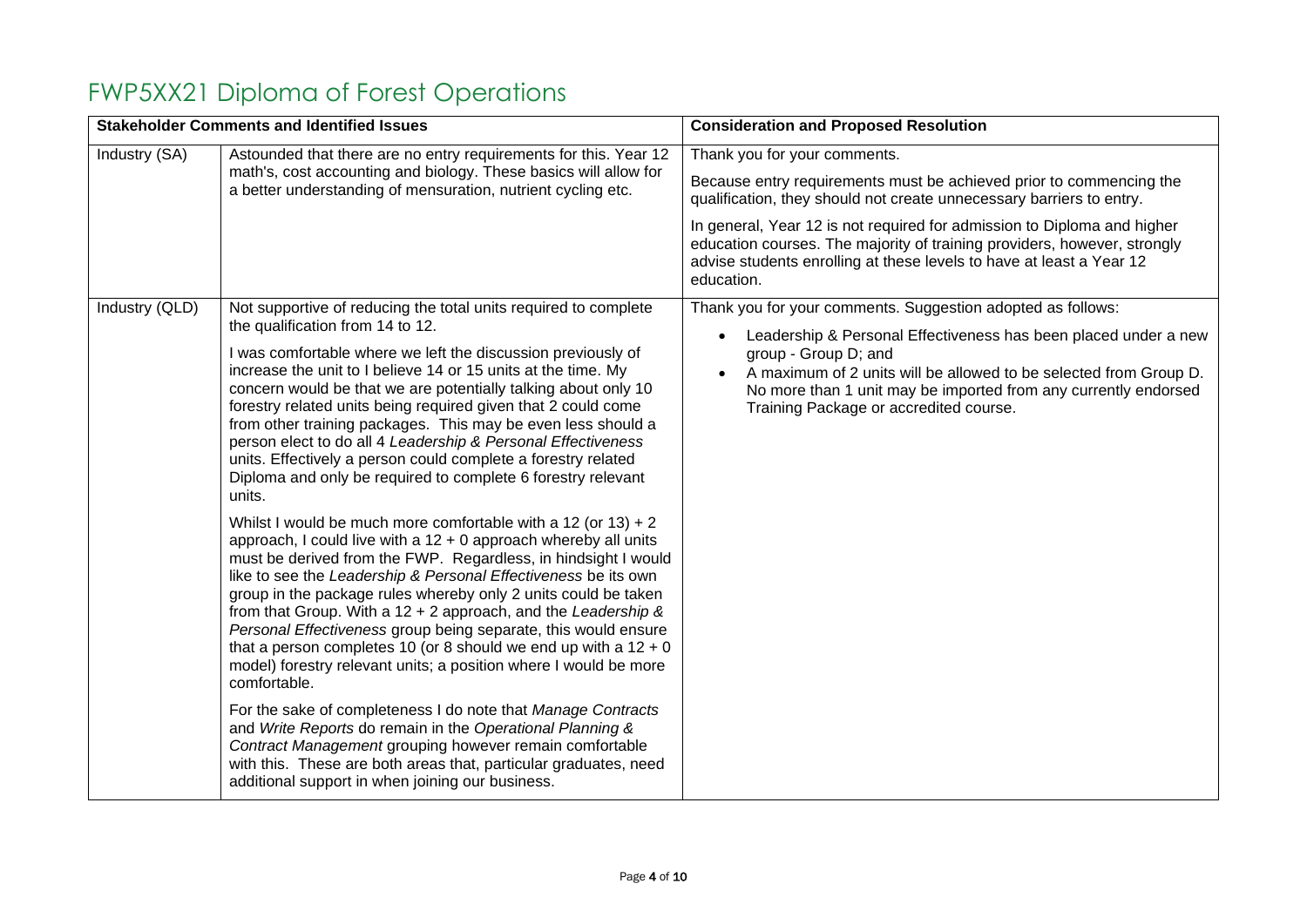# <span id="page-3-0"></span>FWP5XX21 Diploma of Forest Operations

|                | <b>Stakeholder Comments and Identified Issues</b>                                                                                                                                                                                                                                                                                                                                                                                                                                                                                                                                                                                                                                                                                                                                                                                                                                                                                                                                                                                                                                                                                                                                                                                                                                                                                                                                                                                                                                                                                                                                                          | <b>Consideration and Proposed Resolution</b>                                                                                                                                                                                                                                                                                                                                                                             |
|----------------|------------------------------------------------------------------------------------------------------------------------------------------------------------------------------------------------------------------------------------------------------------------------------------------------------------------------------------------------------------------------------------------------------------------------------------------------------------------------------------------------------------------------------------------------------------------------------------------------------------------------------------------------------------------------------------------------------------------------------------------------------------------------------------------------------------------------------------------------------------------------------------------------------------------------------------------------------------------------------------------------------------------------------------------------------------------------------------------------------------------------------------------------------------------------------------------------------------------------------------------------------------------------------------------------------------------------------------------------------------------------------------------------------------------------------------------------------------------------------------------------------------------------------------------------------------------------------------------------------------|--------------------------------------------------------------------------------------------------------------------------------------------------------------------------------------------------------------------------------------------------------------------------------------------------------------------------------------------------------------------------------------------------------------------------|
| Industry (SA)  | Astounded that there are no entry requirements for this. Year 12<br>math's, cost accounting and biology. These basics will allow for<br>a better understanding of mensuration, nutrient cycling etc.                                                                                                                                                                                                                                                                                                                                                                                                                                                                                                                                                                                                                                                                                                                                                                                                                                                                                                                                                                                                                                                                                                                                                                                                                                                                                                                                                                                                       | Thank you for your comments.<br>Because entry requirements must be achieved prior to commencing the<br>qualification, they should not create unnecessary barriers to entry.<br>In general, Year 12 is not required for admission to Diploma and higher<br>education courses. The majority of training providers, however, strongly<br>advise students enrolling at these levels to have at least a Year 12<br>education. |
| Industry (QLD) | Not supportive of reducing the total units required to complete<br>the qualification from 14 to 12.<br>I was comfortable where we left the discussion previously of<br>increase the unit to I believe 14 or 15 units at the time. My<br>concern would be that we are potentially talking about only 10<br>forestry related units being required given that 2 could come<br>from other training packages. This may be even less should a<br>person elect to do all 4 Leadership & Personal Effectiveness<br>units. Effectively a person could complete a forestry related<br>Diploma and only be required to complete 6 forestry relevant<br>units.<br>Whilst I would be much more comfortable with a 12 (or 13) + 2<br>approach, I could live with a 12 + 0 approach whereby all units<br>must be derived from the FWP. Regardless, in hindsight I would<br>like to see the Leadership & Personal Effectiveness be its own<br>group in the package rules whereby only 2 units could be taken<br>from that Group. With a $12 + 2$ approach, and the Leadership &<br>Personal Effectiveness group being separate, this would ensure<br>that a person completes 10 (or 8 should we end up with a $12 + 0$<br>model) forestry relevant units; a position where I would be more<br>comfortable.<br>For the sake of completeness I do note that Manage Contracts<br>and Write Reports do remain in the Operational Planning &<br>Contract Management grouping however remain comfortable<br>with this. These are both areas that, particular graduates, need<br>additional support in when joining our business. | Thank you for your comments. Suggestion adopted as follows:<br>Leadership & Personal Effectiveness has been placed under a new<br>group - Group D; and<br>A maximum of 2 units will be allowed to be selected from Group D.<br>No more than 1 unit may be imported from any currently endorsed<br>Training Package or accredited course.                                                                                 |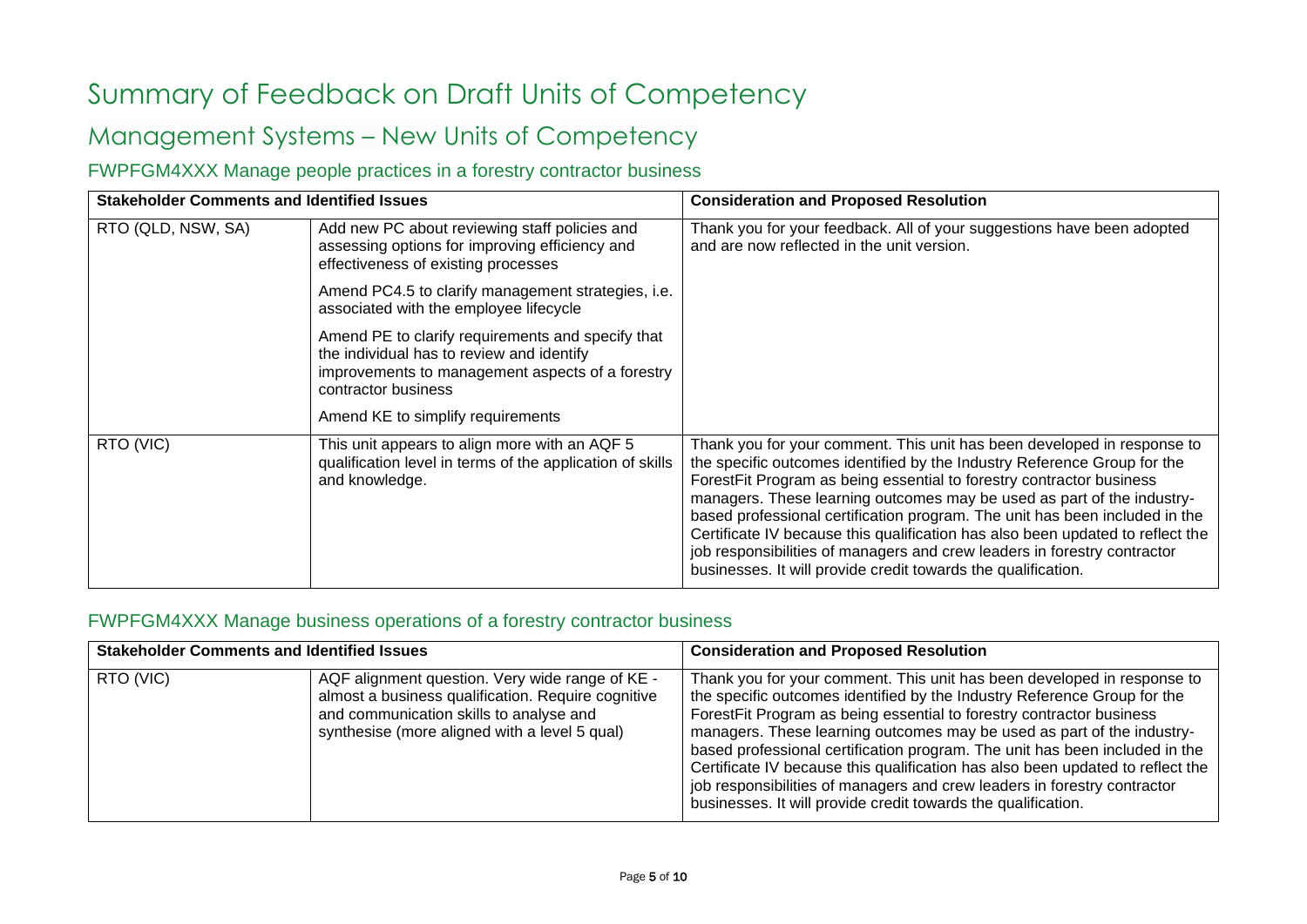# <span id="page-4-0"></span>Summary of Feedback on Draft Units of Competency

# <span id="page-4-1"></span>Management Systems – New Units of Competency

### <span id="page-4-2"></span>FWPFGM4XXX Manage people practices in a forestry contractor business

| <b>Stakeholder Comments and Identified Issues</b> |                                                                                                                                                                           | <b>Consideration and Proposed Resolution</b>                                                                                                                                                                                                                                                                                                                                                                                                                                                                                                                                                                        |
|---------------------------------------------------|---------------------------------------------------------------------------------------------------------------------------------------------------------------------------|---------------------------------------------------------------------------------------------------------------------------------------------------------------------------------------------------------------------------------------------------------------------------------------------------------------------------------------------------------------------------------------------------------------------------------------------------------------------------------------------------------------------------------------------------------------------------------------------------------------------|
| RTO (QLD, NSW, SA)                                | Add new PC about reviewing staff policies and<br>assessing options for improving efficiency and<br>effectiveness of existing processes                                    | Thank you for your feedback. All of your suggestions have been adopted<br>and are now reflected in the unit version.                                                                                                                                                                                                                                                                                                                                                                                                                                                                                                |
|                                                   | Amend PC4.5 to clarify management strategies, i.e.<br>associated with the employee lifecycle                                                                              |                                                                                                                                                                                                                                                                                                                                                                                                                                                                                                                                                                                                                     |
|                                                   | Amend PE to clarify requirements and specify that<br>the individual has to review and identify<br>improvements to management aspects of a forestry<br>contractor business |                                                                                                                                                                                                                                                                                                                                                                                                                                                                                                                                                                                                                     |
|                                                   | Amend KE to simplify requirements                                                                                                                                         |                                                                                                                                                                                                                                                                                                                                                                                                                                                                                                                                                                                                                     |
| RTO (VIC)                                         | This unit appears to align more with an AQF 5<br>qualification level in terms of the application of skills<br>and knowledge.                                              | Thank you for your comment. This unit has been developed in response to<br>the specific outcomes identified by the Industry Reference Group for the<br>ForestFit Program as being essential to forestry contractor business<br>managers. These learning outcomes may be used as part of the industry-<br>based professional certification program. The unit has been included in the<br>Certificate IV because this qualification has also been updated to reflect the<br>job responsibilities of managers and crew leaders in forestry contractor<br>businesses. It will provide credit towards the qualification. |

### <span id="page-4-3"></span>FWPFGM4XXX Manage business operations of a forestry contractor business

| <b>Stakeholder Comments and Identified Issues</b> |                                                                                                                                                                                                   | <b>Consideration and Proposed Resolution</b>                                                                                                                                                                                                                                                                                                                                                                                                                                                                                                                                                                        |
|---------------------------------------------------|---------------------------------------------------------------------------------------------------------------------------------------------------------------------------------------------------|---------------------------------------------------------------------------------------------------------------------------------------------------------------------------------------------------------------------------------------------------------------------------------------------------------------------------------------------------------------------------------------------------------------------------------------------------------------------------------------------------------------------------------------------------------------------------------------------------------------------|
| RTO (VIC)                                         | AQF alignment question. Very wide range of KE -<br>almost a business qualification. Require cognitive<br>and communication skills to analyse and<br>synthesise (more aligned with a level 5 qual) | Thank you for your comment. This unit has been developed in response to<br>the specific outcomes identified by the Industry Reference Group for the<br>ForestFit Program as being essential to forestry contractor business<br>managers. These learning outcomes may be used as part of the industry-<br>based professional certification program. The unit has been included in the<br>Certificate IV because this qualification has also been updated to reflect the<br>job responsibilities of managers and crew leaders in forestry contractor<br>businesses. It will provide credit towards the qualification. |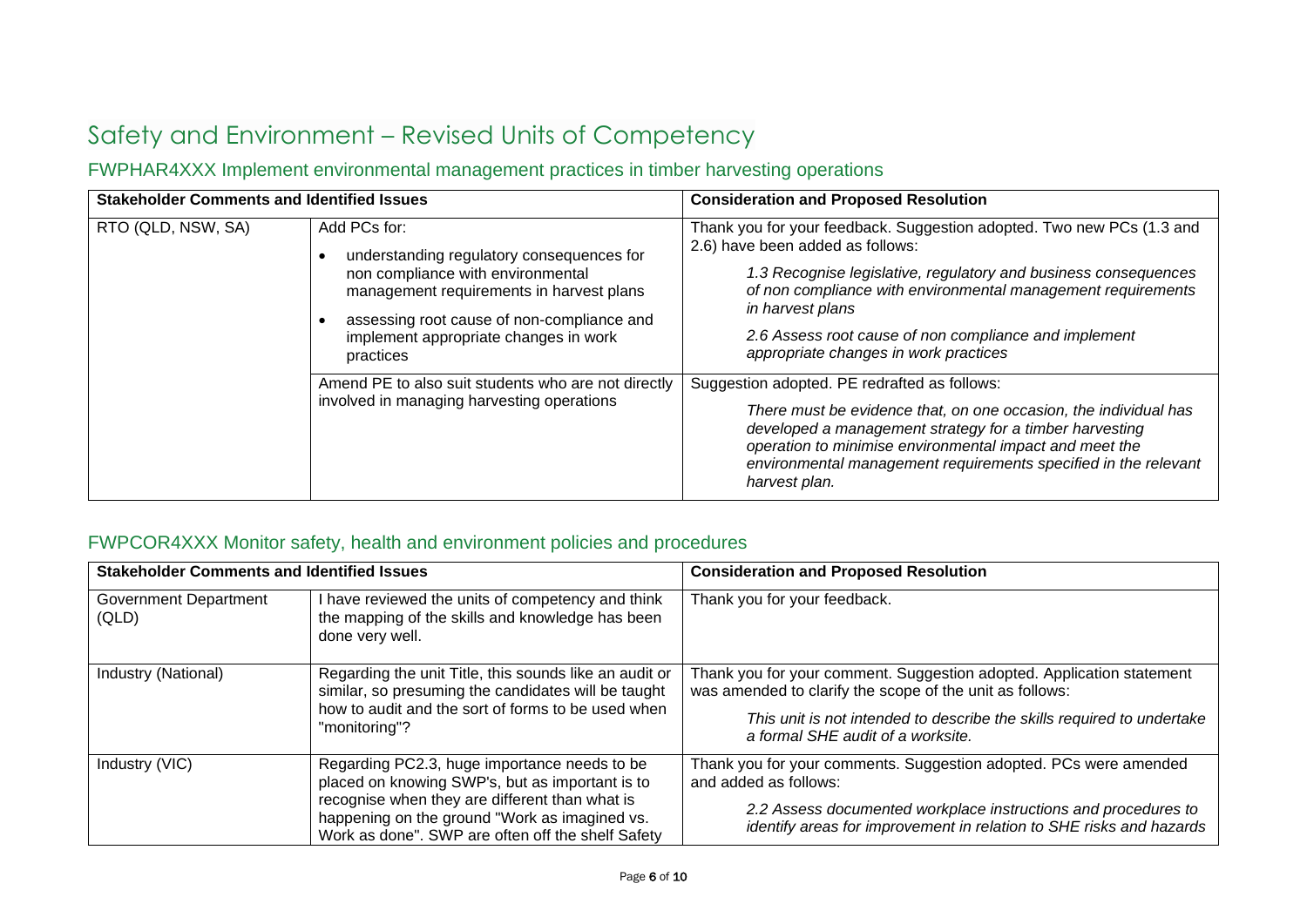# <span id="page-5-0"></span>Safety and Environment – Revised Units of Competency

### <span id="page-5-1"></span>FWPHAR4XXX Implement environmental management practices in timber harvesting operations

| <b>Stakeholder Comments and Identified Issues</b> |                                                                                                                                                                                                                                                | <b>Consideration and Proposed Resolution</b>                                                                                                                                                                                                                                                                                                                       |
|---------------------------------------------------|------------------------------------------------------------------------------------------------------------------------------------------------------------------------------------------------------------------------------------------------|--------------------------------------------------------------------------------------------------------------------------------------------------------------------------------------------------------------------------------------------------------------------------------------------------------------------------------------------------------------------|
| RTO (QLD, NSW, SA)                                | Add PCs for:<br>understanding regulatory consequences for<br>non compliance with environmental<br>management requirements in harvest plans<br>assessing root cause of non-compliance and<br>implement appropriate changes in work<br>practices | Thank you for your feedback. Suggestion adopted. Two new PCs (1.3 and<br>2.6) have been added as follows:<br>1.3 Recognise legislative, regulatory and business consequences<br>of non compliance with environmental management requirements<br>in harvest plans<br>2.6 Assess root cause of non compliance and implement<br>appropriate changes in work practices |
|                                                   | Amend PE to also suit students who are not directly<br>involved in managing harvesting operations                                                                                                                                              | Suggestion adopted. PE redrafted as follows:<br>There must be evidence that, on one occasion, the individual has<br>developed a management strategy for a timber harvesting<br>operation to minimise environmental impact and meet the<br>environmental management requirements specified in the relevant<br>harvest plan.                                         |

### <span id="page-5-2"></span>FWPCOR4XXX Monitor safety, health and environment policies and procedures

| <b>Stakeholder Comments and Identified Issues</b> |                                                                                                                                                                                                                                                         | <b>Consideration and Proposed Resolution</b>                                                                                                                                                                                                     |
|---------------------------------------------------|---------------------------------------------------------------------------------------------------------------------------------------------------------------------------------------------------------------------------------------------------------|--------------------------------------------------------------------------------------------------------------------------------------------------------------------------------------------------------------------------------------------------|
| <b>Government Department</b><br>(QLD)             | I have reviewed the units of competency and think<br>the mapping of the skills and knowledge has been<br>done very well.                                                                                                                                | Thank you for your feedback.                                                                                                                                                                                                                     |
| Industry (National)                               | Regarding the unit Title, this sounds like an audit or<br>similar, so presuming the candidates will be taught<br>how to audit and the sort of forms to be used when<br>"monitoring"?                                                                    | Thank you for your comment. Suggestion adopted. Application statement<br>was amended to clarify the scope of the unit as follows:<br>This unit is not intended to describe the skills required to undertake<br>a formal SHE audit of a worksite. |
| Industry (VIC)                                    | Regarding PC2.3, huge importance needs to be<br>placed on knowing SWP's, but as important is to<br>recognise when they are different than what is<br>happening on the ground "Work as imagined vs.<br>Work as done". SWP are often off the shelf Safety | Thank you for your comments. Suggestion adopted. PCs were amended<br>and added as follows:<br>2.2 Assess documented workplace instructions and procedures to<br>identify areas for improvement in relation to SHE risks and hazards              |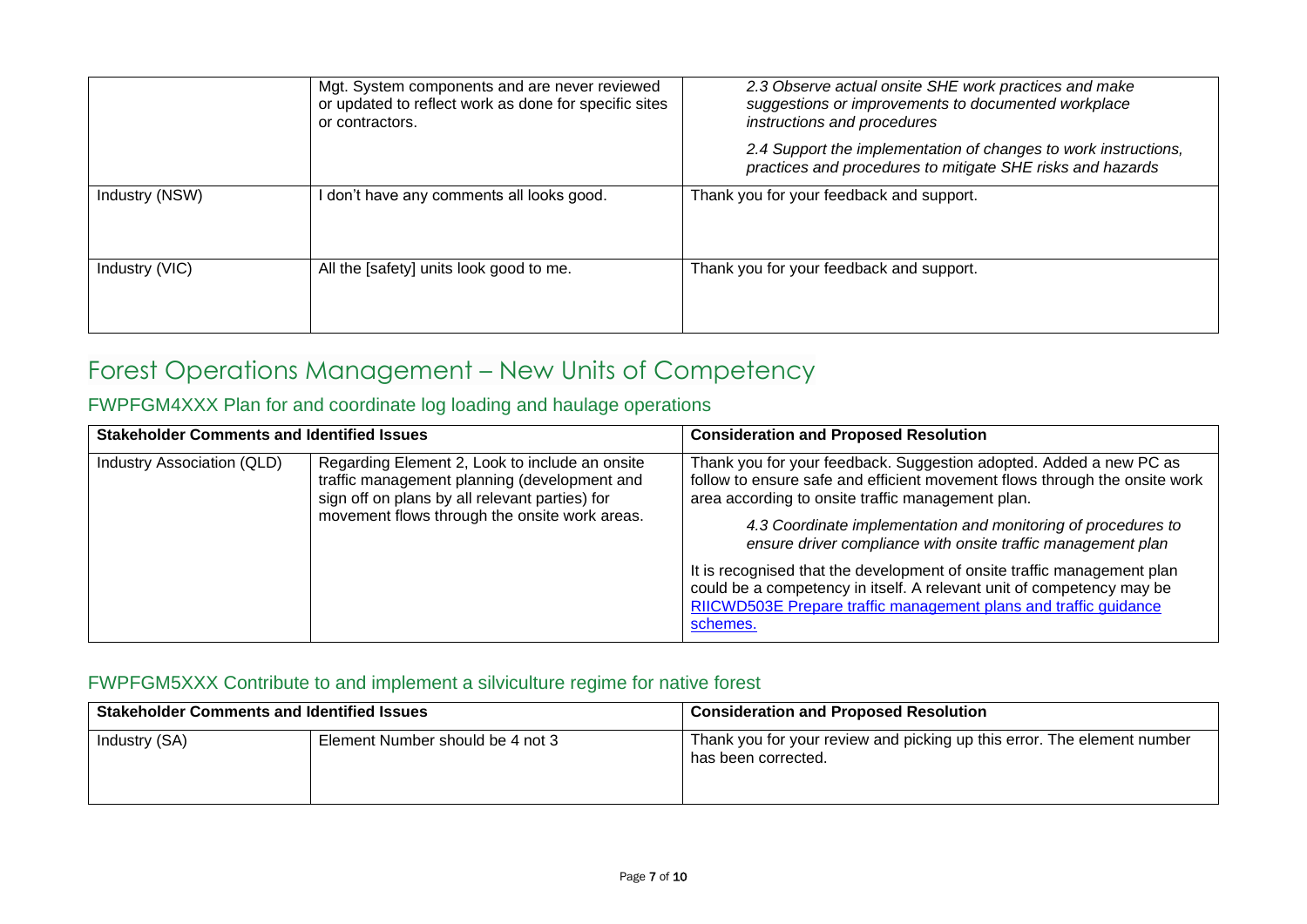|                | Mgt. System components and are never reviewed<br>or updated to reflect work as done for specific sites<br>or contractors. | 2.3 Observe actual onsite SHE work practices and make<br>suggestions or improvements to documented workplace<br>instructions and procedures<br>2.4 Support the implementation of changes to work instructions,<br>practices and procedures to mitigate SHE risks and hazards |
|----------------|---------------------------------------------------------------------------------------------------------------------------|------------------------------------------------------------------------------------------------------------------------------------------------------------------------------------------------------------------------------------------------------------------------------|
| Industry (NSW) | don't have any comments all looks good.                                                                                   | Thank you for your feedback and support.                                                                                                                                                                                                                                     |
| Industry (VIC) | All the [safety] units look good to me.                                                                                   | Thank you for your feedback and support.                                                                                                                                                                                                                                     |

### <span id="page-6-0"></span>Forest Operations Management – New Units of Competency

### <span id="page-6-1"></span>FWPFGM4XXX Plan for and coordinate log loading and haulage operations

| <b>Stakeholder Comments and Identified Issues</b> |                                                                                                                                                                                                   | <b>Consideration and Proposed Resolution</b>                                                                                                                                                                                                                                                                                                                                                                                                                                                                                                                               |
|---------------------------------------------------|---------------------------------------------------------------------------------------------------------------------------------------------------------------------------------------------------|----------------------------------------------------------------------------------------------------------------------------------------------------------------------------------------------------------------------------------------------------------------------------------------------------------------------------------------------------------------------------------------------------------------------------------------------------------------------------------------------------------------------------------------------------------------------------|
| Industry Association (QLD)                        | Regarding Element 2, Look to include an onsite<br>traffic management planning (development and<br>sign off on plans by all relevant parties) for<br>movement flows through the onsite work areas. | Thank you for your feedback. Suggestion adopted. Added a new PC as<br>follow to ensure safe and efficient movement flows through the onsite work<br>area according to onsite traffic management plan.<br>4.3 Coordinate implementation and monitoring of procedures to<br>ensure driver compliance with onsite traffic management plan<br>It is recognised that the development of onsite traffic management plan<br>could be a competency in itself. A relevant unit of competency may be<br>RIICWD503E Prepare traffic management plans and traffic guidance<br>schemes. |

#### <span id="page-6-2"></span>FWPFGM5XXX Contribute to and implement a silviculture regime for native forest

| <b>Stakeholder Comments and Identified Issues</b> |                                  | <b>Consideration and Proposed Resolution</b>                                                   |
|---------------------------------------------------|----------------------------------|------------------------------------------------------------------------------------------------|
| Industry (SA)                                     | Element Number should be 4 not 3 | Thank you for your review and picking up this error. The element number<br>has been corrected. |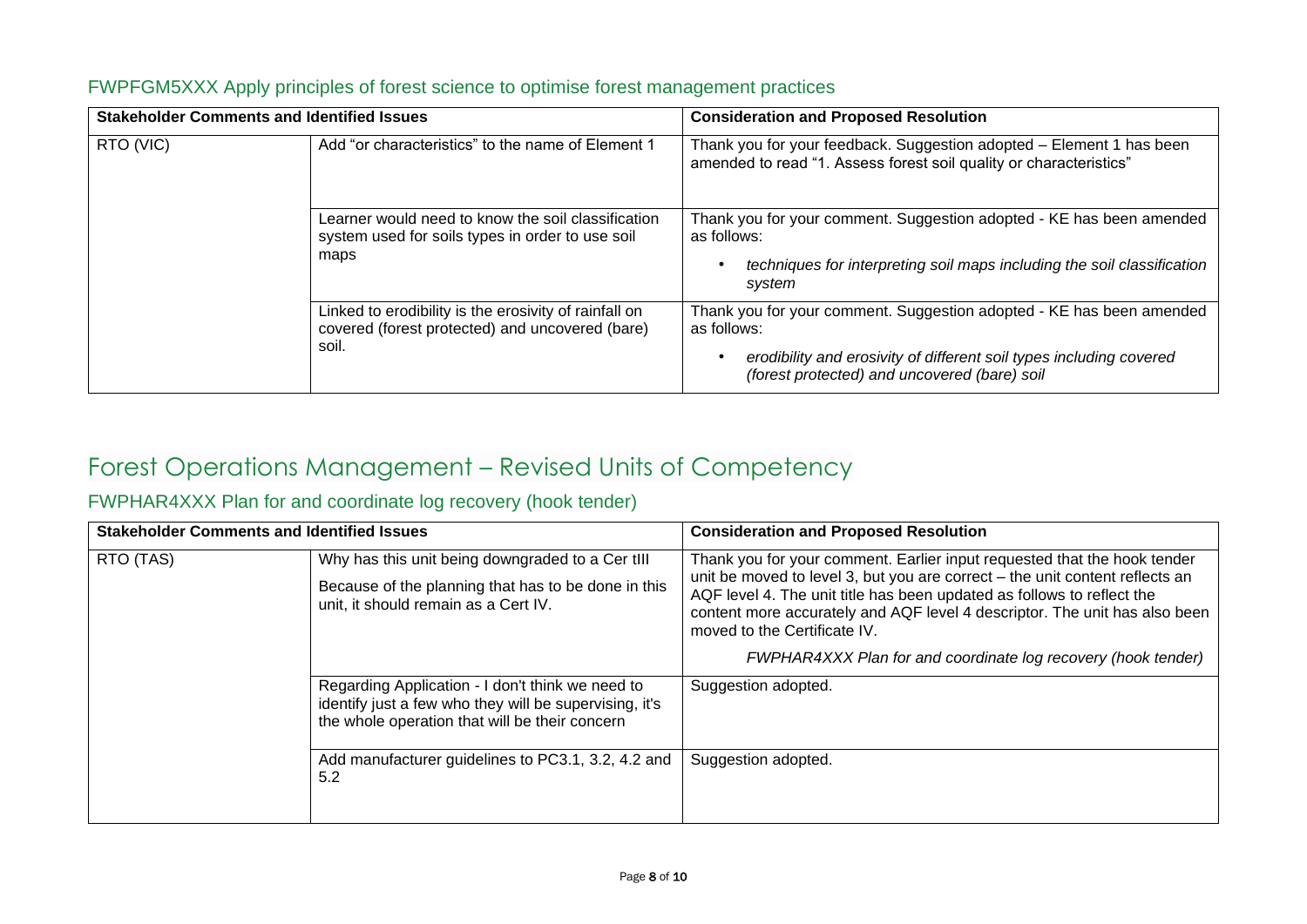| <b>Stakeholder Comments and Identified Issues</b> |                                                                                                                   | <b>Consideration and Proposed Resolution</b>                                                                                                                                                               |
|---------------------------------------------------|-------------------------------------------------------------------------------------------------------------------|------------------------------------------------------------------------------------------------------------------------------------------------------------------------------------------------------------|
| RTO (VIC)                                         | Add "or characteristics" to the name of Element 1                                                                 | Thank you for your feedback. Suggestion adopted - Element 1 has been<br>amended to read "1. Assess forest soil quality or characteristics"                                                                 |
|                                                   | Learner would need to know the soil classification<br>system used for soils types in order to use soil<br>maps    | Thank you for your comment. Suggestion adopted - KE has been amended<br>as follows:<br>techniques for interpreting soil maps including the soil classification<br>system                                   |
|                                                   | Linked to erodibility is the erosivity of rainfall on<br>covered (forest protected) and uncovered (bare)<br>soil. | Thank you for your comment. Suggestion adopted - KE has been amended<br>as follows:<br>erodibility and erosivity of different soil types including covered<br>(forest protected) and uncovered (bare) soil |

#### <span id="page-7-0"></span>FWPFGM5XXX Apply principles of forest science to optimise forest management practices

### <span id="page-7-1"></span>Forest Operations Management – Revised Units of Competency

### <span id="page-7-2"></span>FWPHAR4XXX Plan for and coordinate log recovery (hook tender)

| <b>Stakeholder Comments and Identified Issues</b> |                                                                                                                                                                                                                           | <b>Consideration and Proposed Resolution</b>                                                                                                                                                                                                                                                                                                                                                                      |
|---------------------------------------------------|---------------------------------------------------------------------------------------------------------------------------------------------------------------------------------------------------------------------------|-------------------------------------------------------------------------------------------------------------------------------------------------------------------------------------------------------------------------------------------------------------------------------------------------------------------------------------------------------------------------------------------------------------------|
| RTO (TAS)                                         | Why has this unit being downgraded to a Cer tIII<br>Because of the planning that has to be done in this<br>unit, it should remain as a Cert IV.                                                                           | Thank you for your comment. Earlier input requested that the hook tender<br>unit be moved to level 3, but you are correct – the unit content reflects an<br>AQF level 4. The unit title has been updated as follows to reflect the<br>content more accurately and AQF level 4 descriptor. The unit has also been<br>moved to the Certificate IV.<br>FWPHAR4XXX Plan for and coordinate log recovery (hook tender) |
|                                                   | Regarding Application - I don't think we need to<br>identify just a few who they will be supervising, it's<br>the whole operation that will be their concern<br>Add manufacturer guidelines to PC3.1, 3.2, 4.2 and<br>5.2 | Suggestion adopted.<br>Suggestion adopted.                                                                                                                                                                                                                                                                                                                                                                        |
|                                                   |                                                                                                                                                                                                                           |                                                                                                                                                                                                                                                                                                                                                                                                                   |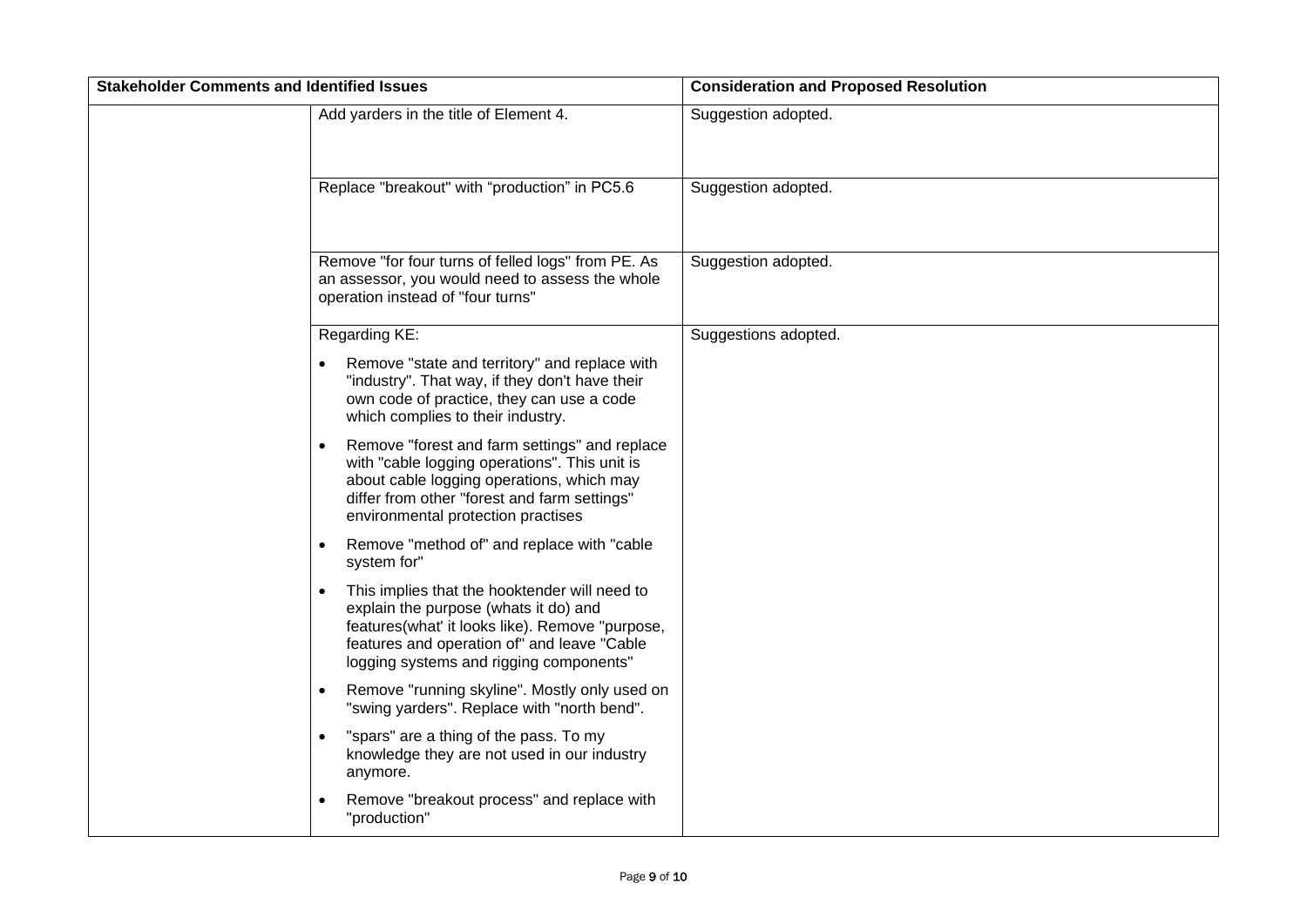| <b>Stakeholder Comments and Identified Issues</b> |                                                                                                                                                                                                                                                  | <b>Consideration and Proposed Resolution</b> |
|---------------------------------------------------|--------------------------------------------------------------------------------------------------------------------------------------------------------------------------------------------------------------------------------------------------|----------------------------------------------|
|                                                   | Add yarders in the title of Element 4.                                                                                                                                                                                                           | Suggestion adopted.                          |
|                                                   | Replace "breakout" with "production" in PC5.6                                                                                                                                                                                                    | Suggestion adopted.                          |
|                                                   | Remove "for four turns of felled logs" from PE. As<br>an assessor, you would need to assess the whole<br>operation instead of "four turns"                                                                                                       | Suggestion adopted.                          |
|                                                   | Regarding KE:                                                                                                                                                                                                                                    | Suggestions adopted.                         |
|                                                   | Remove "state and territory" and replace with<br>"industry". That way, if they don't have their<br>own code of practice, they can use a code<br>which complies to their industry.                                                                |                                              |
|                                                   | Remove "forest and farm settings" and replace<br>with "cable logging operations". This unit is<br>about cable logging operations, which may<br>differ from other "forest and farm settings"<br>environmental protection practises                |                                              |
|                                                   | Remove "method of" and replace with "cable<br>$\bullet$<br>system for"                                                                                                                                                                           |                                              |
|                                                   | This implies that the hooktender will need to<br>$\bullet$<br>explain the purpose (whats it do) and<br>features(what' it looks like). Remove "purpose,<br>features and operation of" and leave "Cable<br>logging systems and rigging components" |                                              |
|                                                   | Remove "running skyline". Mostly only used on<br>$\bullet$<br>"swing yarders". Replace with "north bend".                                                                                                                                        |                                              |
|                                                   | "spars" are a thing of the pass. To my<br>knowledge they are not used in our industry<br>anymore.                                                                                                                                                |                                              |
|                                                   | Remove "breakout process" and replace with<br>"production"                                                                                                                                                                                       |                                              |